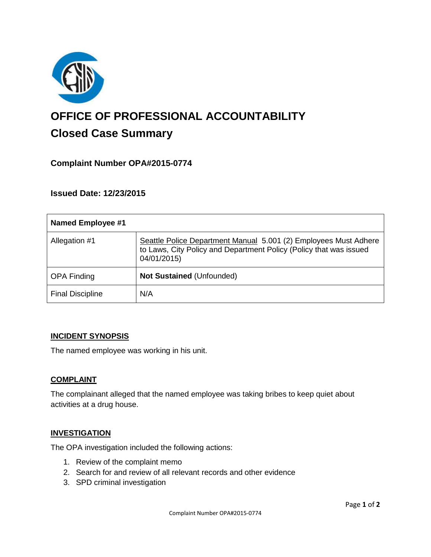

# **OFFICE OF PROFESSIONAL ACCOUNTABILITY Closed Case Summary**

# **Complaint Number OPA#2015-0774**

**Issued Date: 12/23/2015**

| <b>Named Employee #1</b> |                                                                                                                                                       |
|--------------------------|-------------------------------------------------------------------------------------------------------------------------------------------------------|
| Allegation #1            | Seattle Police Department Manual 5.001 (2) Employees Must Adhere<br>to Laws, City Policy and Department Policy (Policy that was issued<br>04/01/2015) |
| <b>OPA Finding</b>       | Not Sustained (Unfounded)                                                                                                                             |
| <b>Final Discipline</b>  | N/A                                                                                                                                                   |

#### **INCIDENT SYNOPSIS**

The named employee was working in his unit.

#### **COMPLAINT**

The complainant alleged that the named employee was taking bribes to keep quiet about activities at a drug house.

#### **INVESTIGATION**

The OPA investigation included the following actions:

- 1. Review of the complaint memo
- 2. Search for and review of all relevant records and other evidence
- 3. SPD criminal investigation